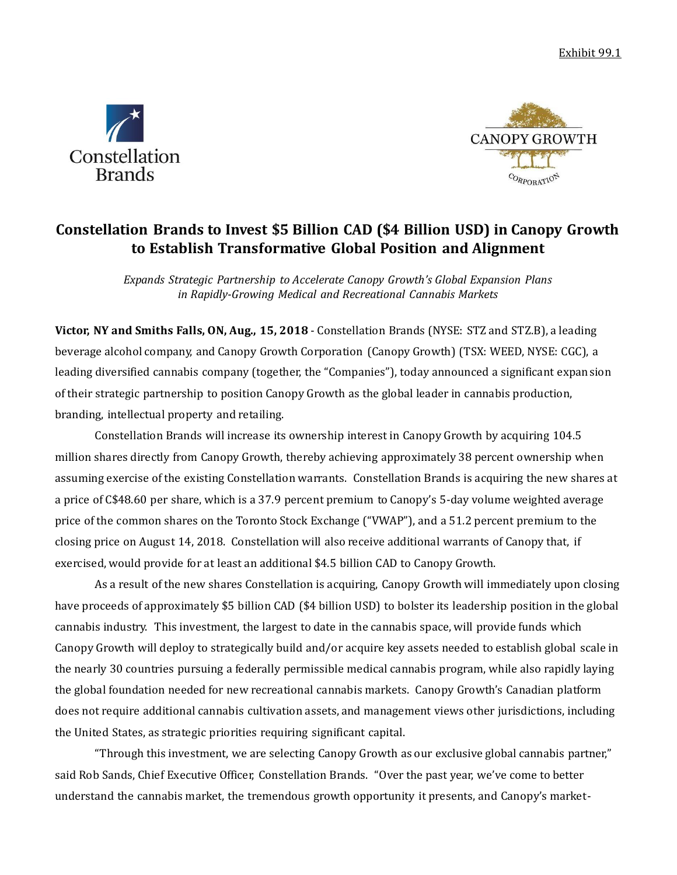Exhibit 99.1





# **Constellation Brands to Invest \$5 Billion CAD (\$4 Billion USD) in Canopy Growth to Establish Transformative Global Position and Alignment**

*Expands Strategic Partnership to Accelerate Canopy Growth's Global Expansion Plans in Rapidly-Growing Medical and Recreational Cannabis Markets*

**Victor, NY and Smiths Falls, ON, Aug., 15, 2018** - Constellation Brands (NYSE: STZ and STZ.B), a leading beverage alcohol company, and Canopy Growth Corporation (Canopy Growth) (TSX: WEED, NYSE: CGC), a leading diversified cannabis company (together, the "Companies"), today announced a significant expansion of their strategic partnership to position Canopy Growth as the global leader in cannabis production, branding, intellectual property and retailing.

Constellation Brands will increase its ownership interest in Canopy Growth by acquiring 104.5 million shares directly from Canopy Growth, thereby achieving approximately 38 percent ownership when assuming exercise of the existing Constellation warrants. Constellation Brands is acquiring the new shares at a price of C\$48.60 per share, which is a 37.9 percent premium to Canopy's 5-day volume weighted average price of the common shares on the Toronto Stock Exchange ("VWAP"), and a 51.2 percent premium to the closing price on August 14, 2018. Constellation will also receive additional warrants of Canopy that, if exercised, would provide for at least an additional \$4.5 billion CAD to Canopy Growth.

As a result of the new shares Constellation is acquiring, Canopy Growth will immediately upon closing have proceeds of approximately \$5 billion CAD (\$4 billion USD) to bolster its leadership position in the global cannabis industry. This investment, the largest to date in the cannabis space, will provide funds which Canopy Growth will deploy to strategically build and/or acquire key assets needed to establish global scale in the nearly 30 countries pursuing a federally permissible medical cannabis program, while also rapidly laying the global foundation needed for new recreational cannabis markets. Canopy Growth's Canadian platform does not require additional cannabis cultivation assets, and management views other jurisdictions, including the United States, as strategic priorities requiring significant capital.

"Through this investment, we are selecting Canopy Growth as our exclusive global cannabis partner," said Rob Sands, Chief Executive Officer, Constellation Brands. "Over the past year, we've come to better understand the cannabis market, the tremendous growth opportunity it presents, and Canopy's market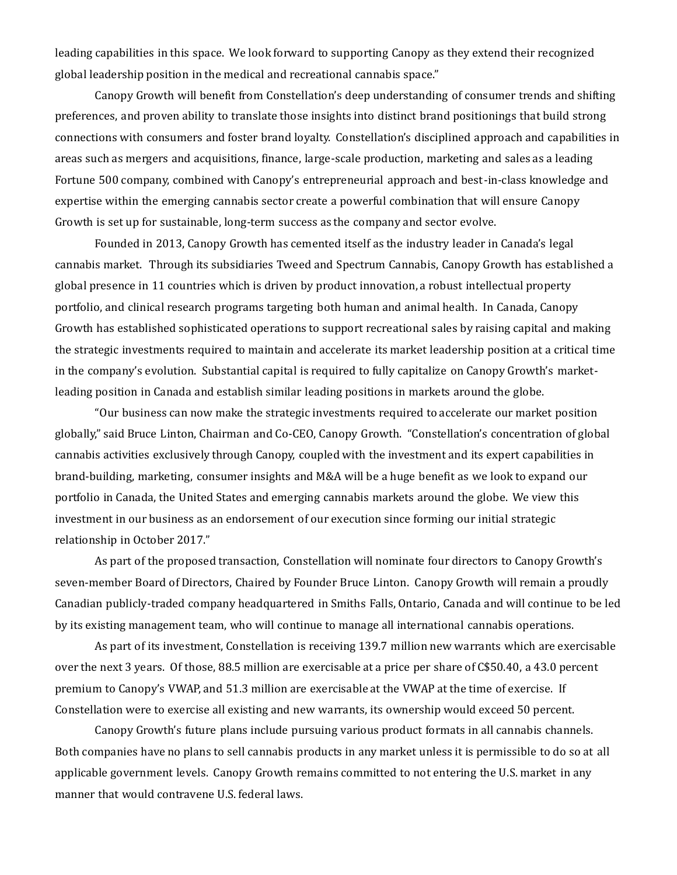leading capabilities in this space. We look forward to supporting Canopy as they extend their recognized global leadership position in the medical and recreational cannabis space."

Canopy Growth will benefit from Constellation's deep understanding of consumer trends and shifting preferences, and proven ability to translate those insights into distinct brand positionings that build strong connections with consumers and foster brand loyalty. Constellation's disciplined approach and capabilities in areas such as mergers and acquisitions, finance, large-scale production, marketing and sales as a leading Fortune 500 company, combined with Canopy's entrepreneurial approach and best-in-class knowledge and expertise within the emerging cannabis sector create a powerful combination that will ensure Canopy Growth is set up for sustainable, long-term success as the company and sector evolve.

Founded in 2013, Canopy Growth has cemented itself as the industry leader in Canada's legal cannabis market. Through its subsidiaries Tweed and Spectrum Cannabis, Canopy Growth has established a global presence in 11 countries which is driven by product innovation, a robust intellectual property portfolio, and clinical research programs targeting both human and animal health. In Canada, Canopy Growth has established sophisticated operations to support recreational sales by raising capital and making the strategic investments required to maintain and accelerate its market leadership position at a critical time in the company's evolution. Substantial capital is required to fully capitalize on Canopy Growth's marketleading position in Canada and establish similar leading positions in markets around the globe.

"Our business can now make the strategic investments required to accelerate our market position globally," said Bruce Linton, Chairman and Co-CEO, Canopy Growth. "Constellation's concentration of global cannabis activities exclusively through Canopy, coupled with the investment and its expert capabilities in brand-building, marketing, consumer insights and M&A will be a huge benefit as we look to expand our portfolio in Canada, the United States and emerging cannabis markets around the globe. We view this investment in our business as an endorsement of our execution since forming our initial strategic relationship in October 2017."

As part of the proposed transaction, Constellation will nominate four directors to Canopy Growth's seven-member Board of Directors, Chaired by Founder Bruce Linton. Canopy Growth will remain a proudly Canadian publicly-traded company headquartered in Smiths Falls, Ontario, Canada and will continue to be led by its existing management team, who will continue to manage all international cannabis operations.

As part of its investment, Constellation is receiving 139.7 million new warrants which are exercisable over the next 3 years. Of those, 88.5 million are exercisable at a price per share of C\$50.40, a 43.0 percent premium to Canopy's VWAP, and 51.3 million are exercisable at the VWAP at the time of exercise. If Constellation were to exercise all existing and new warrants, its ownership would exceed 50 percent.

Canopy Growth's future plans include pursuing various product formats in all cannabis channels. Both companies have no plans to sell cannabis products in any market unless it is permissible to do so at all applicable government levels. Canopy Growth remains committed to not entering the U.S. market in any manner that would contravene U.S. federal laws.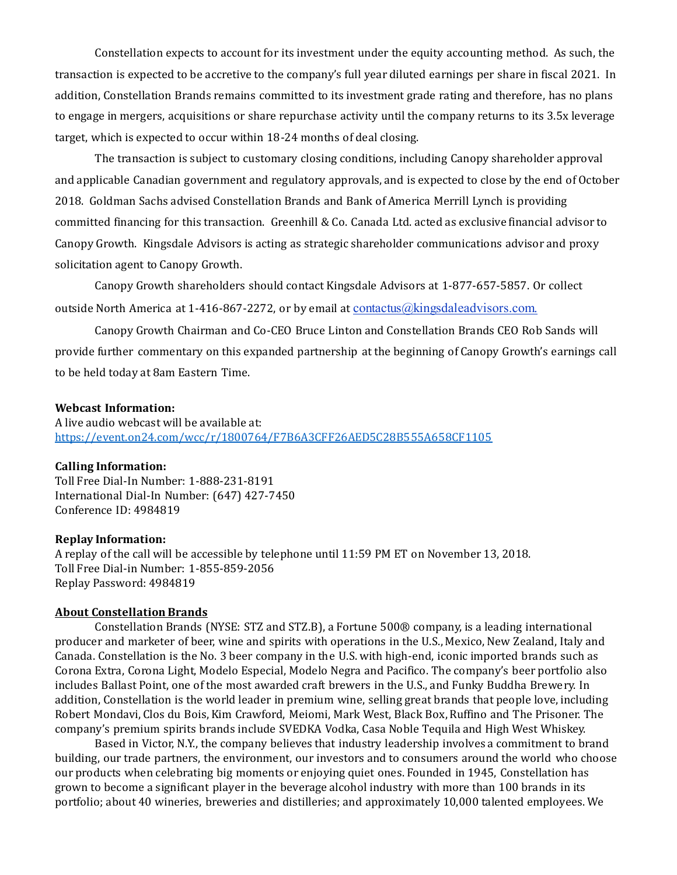Constellation expects to account for its investment under the equity accounting method. As such, the transaction is expected to be accretive to the company's full year diluted earnings per share in fiscal 2021. In addition, Constellation Brands remains committed to its investment grade rating and therefore, has no plans to engage in mergers, acquisitions or share repurchase activity until the company returns to its 3.5x leverage target, which is expected to occur within 18-24 months of deal closing.

The transaction is subject to customary closing conditions, including Canopy shareholder approval and applicable Canadian government and regulatory approvals, and is expected to close by the end of October 2018. Goldman Sachs advised Constellation Brands and Bank of America Merrill Lynch is providing committed financing for this transaction. Greenhill & Co. Canada Ltd. acted as exclusive financial advisor to Canopy Growth. Kingsdale Advisors is acting as strategic shareholder communications advisor and proxy solicitation agent to Canopy Growth.

Canopy Growth shareholders should contact Kingsdale Advisors at 1-877-657-5857. Or collect outside North America at 1-416-867-2272, or by email at contactus@kingsdaleadvisors.com.

Canopy Growth Chairman and Co-CEO Bruce Linton and Constellation Brands CEO Rob Sands will provide further commentary on this expanded partnership at the beginning of Canopy Growth's earnings call to be held today at 8am Eastern Time.

## **Webcast Information:**

A live audio webcast will be available at: https://event.on24.com/wcc/r/1800764/F7B6A3CFF26AED5C28B555A658CF1105

#### **Calling Information:**

Toll Free Dial-In Number: 1-888-231-8191 International Dial-In Number: (647) 427-7450 Conference ID: 4984819

#### **Replay Information:**

A replay of the call will be accessible by telephone until 11:59 PM ET on November 13, 2018. Toll Free Dial-in Number: 1-855-859-2056 Replay Password: 4984819

#### **About Constellation Brands**

Constellation Brands (NYSE: STZ and STZ.B), a Fortune 500® company, is a leading international producer and marketer of beer, wine and spirits with operations in the U.S., Mexico, New Zealand, Italy and Canada. Constellation is the No. 3 beer company in the U.S. with high-end, iconic imported brands such as Corona Extra, Corona Light, Modelo Especial, Modelo Negra and Pacifico. The company's beer portfolio also includes Ballast Point, one of the most awarded craft brewers in the U.S., and Funky Buddha Brewery. In addition, Constellation is the world leader in premium wine, selling great brands that people love, including Robert Mondavi, Clos du Bois, Kim Crawford, Meiomi, Mark West, Black Box, Ruffino and The Prisoner. The company's premium spirits brands include SVEDKA Vodka, Casa Noble Tequila and High West Whiskey.

Based in Victor, N.Y., the company believes that industry leadership involves a commitment to brand building, our trade partners, the environment, our investors and to consumers around the world who choose our products when celebrating big moments or enjoying quiet ones. Founded in 1945, Constellation has grown to become a significant player in the beverage alcohol industry with more than 100 brands in its portfolio; about 40 wineries, breweries and distilleries; and approximately 10,000 talented employees. We